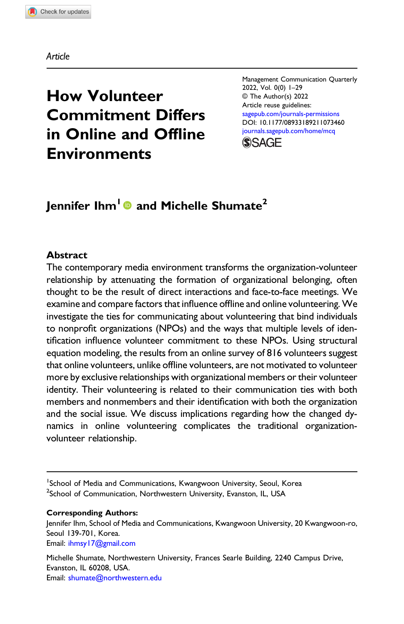Article

# How Volunteer Commitment Differs in Online and Offline Environments

Management Communication Quarterly 2022, Vol. 0(0) 1–29 © The Author(s) 2022 Article reuse guidelines: [sagepub.com/journals-permissions](https://us.sagepub.com/en-us/journals-permissions) DOI: [10.1177/08933189211073460](https://doi.org/10.1177/08933189211073460) [journals.sagepub.com/home/mcq](https://journals.sagepub.com/home/mcq)



# Jennifer Ihm<sup>1</sup> and Michelle Shumate<sup>2</sup>

#### Abstract

The contemporary media environment transforms the organization-volunteer relationship by attenuating the formation of organizational belonging, often thought to be the result of direct interactions and face-to-face meetings. We examine and compare factors that influence offline and online volunteering. We investigate the ties for communicating about volunteering that bind individuals to nonprofit organizations (NPOs) and the ways that multiple levels of identification influence volunteer commitment to these NPOs. Using structural equation modeling, the results from an online survey of 816 volunteers suggest that online volunteers, unlike offline volunteers, are not motivated to volunteer more by exclusive relationships with organizational members or their volunteer identity. Their volunteering is related to their communication ties with both members and nonmembers and their identification with both the organization and the social issue. We discuss implications regarding how the changed dynamics in online volunteering complicates the traditional organizationvolunteer relationship.

<sup>1</sup>School of Media and Communications, Kwangwoon University, Seoul, Korea <sup>2</sup>School of Communication, Northwestern University, Evanston, IL, USA

#### Corresponding Authors:

Jennifer Ihm, School of Media and Communications, Kwangwoon University, 20 Kwangwoon-ro, Seoul 139-701, Korea. Email: [ihmsy17@gmail.com](mailto:ihmsy17@gmail.com)

Michelle Shumate, Northwestern University, Frances Searle Building, 2240 Campus Drive, Evanston, IL 60208, USA. Email: [shumate@northwestern.edu](mailto:shumate@northwestern.edu)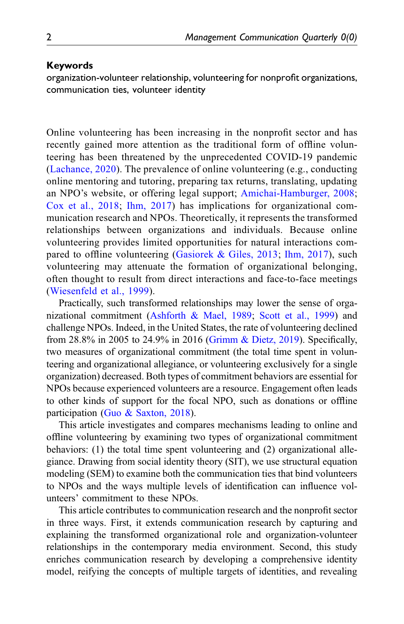#### Keywords

organization-volunteer relationship, volunteering for nonprofit organizations, communication ties, volunteer identity

Online volunteering has been increasing in the nonprofit sector and has recently gained more attention as the traditional form of offline volunteering has been threatened by the unprecedented COVID-19 pandemic ([Lachance, 2020\)](#page-25-0). The prevalence of online volunteering (e.g., conducting online mentoring and tutoring, preparing tax returns, translating, updating an NPO's website, or offering legal support; [Amichai-Hamburger, 2008;](#page-23-0) [Cox et al., 2018;](#page-24-0) [Ihm, 2017](#page-25-1)) has implications for organizational communication research and NPOs. Theoretically, it represents the transformed relationships between organizations and individuals. Because online volunteering provides limited opportunities for natural interactions compared to offline volunteering ([Gasiorek & Giles, 2013;](#page-24-1) [Ihm, 2017](#page-25-1)), such volunteering may attenuate the formation of organizational belonging, often thought to result from direct interactions and face-to-face meetings ([Wiesenfeld et al., 1999](#page-27-0)).

Practically, such transformed relationships may lower the sense of organizational commitment [\(Ashforth & Mael, 1989;](#page-23-1) [Scott et al., 1999](#page-26-0)) and challenge NPOs. Indeed, in the United States, the rate of volunteering declined from 28.8% in 2005 to 24.9% in 2016 ([Grimm & Dietz, 2019](#page-24-2)). Specifically, two measures of organizational commitment (the total time spent in volunteering and organizational allegiance, or volunteering exclusively for a single organization) decreased. Both types of commitment behaviors are essential for NPOs because experienced volunteers are a resource. Engagement often leads to other kinds of support for the focal NPO, such as donations or offline participation ([Guo & Saxton, 2018\)](#page-24-3).

This article investigates and compares mechanisms leading to online and offline volunteering by examining two types of organizational commitment behaviors: (1) the total time spent volunteering and (2) organizational allegiance. Drawing from social identity theory (SIT), we use structural equation modeling (SEM) to examine both the communication ties that bind volunteers to NPOs and the ways multiple levels of identification can influence volunteers' commitment to these NPOs.

This article contributes to communication research and the nonprofit sector in three ways. First, it extends communication research by capturing and explaining the transformed organizational role and organization-volunteer relationships in the contemporary media environment. Second, this study enriches communication research by developing a comprehensive identity model, reifying the concepts of multiple targets of identities, and revealing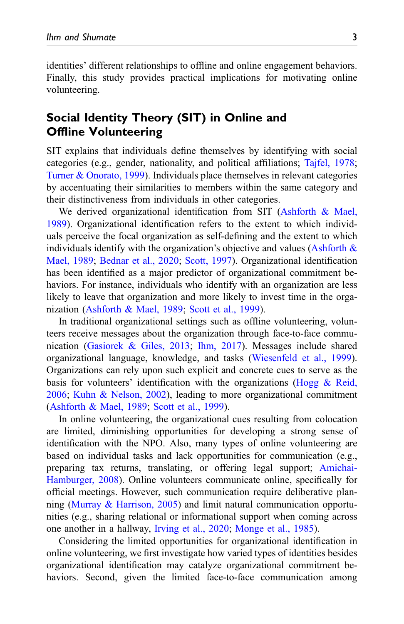identities' different relationships to offline and online engagement behaviors. Finally, this study provides practical implications for motivating online volunteering.

# Social Identity Theory (SIT) in Online and Offline Volunteering

SIT explains that individuals define themselves by identifying with social categories (e.g., gender, nationality, and political affiliations; [Tajfel, 1978;](#page-27-1) [Turner & Onorato, 1999\)](#page-27-2). Individuals place themselves in relevant categories by accentuating their similarities to members within the same category and their distinctiveness from individuals in other categories.

We derived organizational identification from SIT [\(Ashforth & Mael,](#page-23-1) [1989\)](#page-23-1). Organizational identification refers to the extent to which individuals perceive the focal organization as self-defining and the extent to which individuals identify with the organization's objective and values [\(Ashforth &](#page-23-1) [Mael, 1989;](#page-23-1) [Bednar et al., 2020](#page-23-2); [Scott, 1997](#page-26-1)). Organizational identification has been identified as a major predictor of organizational commitment behaviors. For instance, individuals who identify with an organization are less likely to leave that organization and more likely to invest time in the organization ([Ashforth & Mael, 1989](#page-23-1); [Scott et al., 1999\)](#page-26-0).

In traditional organizational settings such as offline volunteering, volunteers receive messages about the organization through face-to-face communication [\(Gasiorek & Giles, 2013](#page-24-1); [Ihm, 2017\)](#page-25-1). Messages include shared organizational language, knowledge, and tasks ([Wiesenfeld et al., 1999\)](#page-27-0). Organizations can rely upon such explicit and concrete cues to serve as the basis for volunteers' identification with the organizations (Hogg  $\&$  Reid, [2006;](#page-24-4) [Kuhn & Nelson, 2002](#page-25-2)), leading to more organizational commitment ([Ashforth & Mael, 1989](#page-23-1); [Scott et al., 1999\)](#page-26-0).

In online volunteering, the organizational cues resulting from colocation are limited, diminishing opportunities for developing a strong sense of identification with the NPO. Also, many types of online volunteering are based on individual tasks and lack opportunities for communication (e.g., preparing tax returns, translating, or offering legal support; [Amichai-](#page-23-0)[Hamburger, 2008\)](#page-23-0). Online volunteers communicate online, specifically for official meetings. However, such communication require deliberative planning ([Murray & Harrison, 2005](#page-26-2)) and limit natural communication opportunities (e.g., sharing relational or informational support when coming across one another in a hallway, [Irving et al., 2020;](#page-25-3) [Monge et al., 1985\)](#page-26-3).

Considering the limited opportunities for organizational identification in online volunteering, we first investigate how varied types of identities besides organizational identification may catalyze organizational commitment behaviors. Second, given the limited face-to-face communication among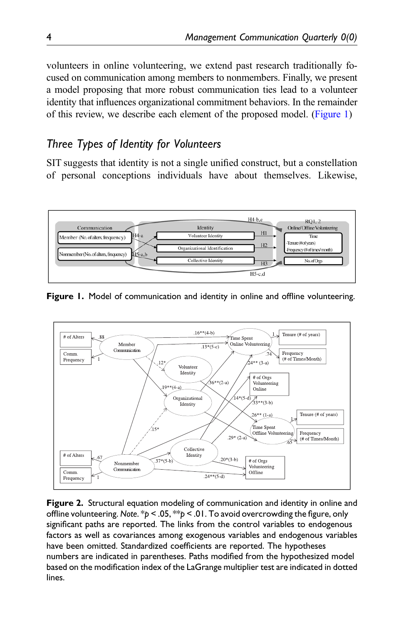volunteers in online volunteering, we extend past research traditionally focused on communication among members to nonmembers. Finally, we present a model proposing that more robust communication ties lead to a volunteer identity that influences organizational commitment behaviors. In the remainder of this review, we describe each element of the proposed model. ([Figure 1](#page-3-0))

# Three Types of Identity for Volunteers

SIT suggests that identity is not a single unified construct, but a constellation of personal conceptions individuals have about themselves. Likewise,



<span id="page-3-0"></span>**Figure 1.** Model of communication and identity in online and offline volunteering.



<span id="page-3-1"></span>Figure 2. Structural equation modeling of communication and identity in online and offline volunteering. Note. \*p < .05, \*\*p < .01. To avoid overcrowding the figure, only significant paths are reported. The links from the control variables to endogenous factors as well as covariances among exogenous variables and endogenous variables have been omitted. Standardized coefficients are reported. The hypotheses numbers are indicated in parentheses. Paths modified from the hypothesized model based on the modification index of the LaGrange multiplier test are indicated in dotted lines.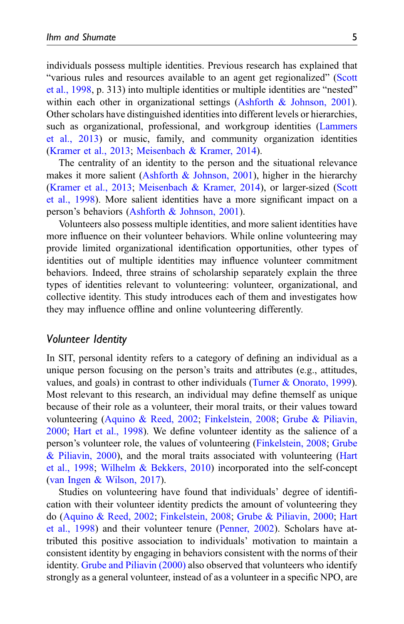individuals possess multiple identities. Previous research has explained that "various rules and resources available to an agent get regionalized" [\(Scott](#page-27-3) [et al., 1998,](#page-27-3) p. 313) into multiple identities or multiple identities are "nested" within each other in organizational settings (Ashforth  $\&$  Johnson, 2001). Other scholars have distinguished identities into different levels or hierarchies, such as organizational, professional, and workgroup identities [\(Lammers](#page-26-4) [et al., 2013](#page-26-4)) or music, family, and community organization identities ([Kramer et al., 2013;](#page-25-4) [Meisenbach & Kramer, 2014\)](#page-26-5).

The centrality of an identity to the person and the situational relevance makes it more salient (Ashforth  $\&$  Johnson, 2001), higher in the hierarchy ([Kramer et al., 2013](#page-25-4); [Meisenbach & Kramer, 2014](#page-26-5)), or larger-sized [\(Scott](#page-27-3) [et al., 1998](#page-27-3)). More salient identities have a more significant impact on a person's behaviors ([Ashforth & Johnson, 2001\)](#page-23-3).

Volunteers also possess multiple identities, and more salient identities have more influence on their volunteer behaviors. While online volunteering may provide limited organizational identification opportunities, other types of identities out of multiple identities may influence volunteer commitment behaviors. Indeed, three strains of scholarship separately explain the three types of identities relevant to volunteering: volunteer, organizational, and collective identity. This study introduces each of them and investigates how they may influence offline and online volunteering differently.

#### Volunteer Identity

In SIT, personal identity refers to a category of defining an individual as a unique person focusing on the person's traits and attributes (e.g., attitudes, values, and goals) in contrast to other individuals [\(Turner & Onorato, 1999\)](#page-27-2). Most relevant to this research, an individual may define themself as unique because of their role as a volunteer, their moral traits, or their values toward volunteering ([Aquino & Reed, 2002](#page-23-4); [Finkelstein, 2008;](#page-24-5) [Grube & Piliavin,](#page-24-6) [2000;](#page-24-6) [Hart et al., 1998](#page-24-7)). We define volunteer identity as the salience of a person's volunteer role, the values of volunteering [\(Finkelstein, 2008](#page-24-5); [Grube](#page-24-6) [& Piliavin, 2000\)](#page-24-6), and the moral traits associated with volunteering ([Hart](#page-24-7) [et al., 1998](#page-24-7); [Wilhelm & Bekkers, 2010\)](#page-27-4) incorporated into the self-concept ([van Ingen & Wilson, 2017](#page-27-5)).

Studies on volunteering have found that individuals' degree of identification with their volunteer identity predicts the amount of volunteering they do ([Aquino & Reed, 2002](#page-23-4); [Finkelstein, 2008;](#page-24-5) [Grube & Piliavin, 2000](#page-24-6); [Hart](#page-24-7) [et al., 1998](#page-24-7)) and their volunteer tenure [\(Penner, 2002\)](#page-26-6). Scholars have attributed this positive association to individuals' motivation to maintain a consistent identity by engaging in behaviors consistent with the norms of their identity. [Grube and Piliavin \(2000\)](#page-24-6) also observed that volunteers who identify strongly as a general volunteer, instead of as a volunteer in a specific NPO, are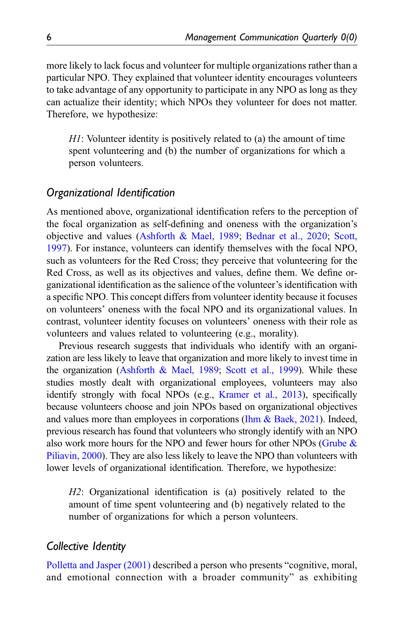more likely to lack focus and volunteer for multiple organizations rather than a particular NPO. They explained that volunteer identity encourages volunteers to take advantage of any opportunity to participate in any NPO as long as they can actualize their identity; which NPOs they volunteer for does not matter. Therefore, we hypothesize:

H1: Volunteer identity is positively related to (a) the amount of time spent volunteering and (b) the number of organizations for which a person volunteers.

# Organizational Identification

As mentioned above, organizational identification refers to the perception of the focal organization as self-defining and oneness with the organization's objective and values ([Ashforth & Mael, 1989](#page-23-1); [Bednar et al., 2020;](#page-23-2) [Scott,](#page-26-1) [1997\)](#page-26-1). For instance, volunteers can identify themselves with the focal NPO, such as volunteers for the Red Cross; they perceive that volunteering for the Red Cross, as well as its objectives and values, define them. We define organizational identification as the salience of the volunteer's identification with a specific NPO. This concept differs from volunteer identity because it focuses on volunteers' oneness with the focal NPO and its organizational values. In contrast, volunteer identity focuses on volunteers' oneness with their role as volunteers and values related to volunteering (e.g., morality).

Previous research suggests that individuals who identify with an organization are less likely to leave that organization and more likely to invest time in the organization [\(Ashforth & Mael, 1989](#page-23-1); [Scott et al., 1999\)](#page-26-0). While these studies mostly dealt with organizational employees, volunteers may also identify strongly with focal NPOs (e.g., [Kramer et al., 2013](#page-25-4)), specifically because volunteers choose and join NPOs based on organizational objectives and values more than employees in corporations [\(Ihm & Baek, 2021](#page-25-5)). Indeed, previous research has found that volunteers who strongly identify with an NPO also work more hours for the NPO and fewer hours for other NPOs ([Grube &](#page-24-6) [Piliavin, 2000\)](#page-24-6). They are also less likely to leave the NPO than volunteers with lower levels of organizational identification. Therefore, we hypothesize:

H2: Organizational identification is (a) positively related to the amount of time spent volunteering and (b) negatively related to the number of organizations for which a person volunteers.

### Collective Identity

[Polletta and Jasper \(2001\)](#page-26-7) described a person who presents "cognitive, moral, and emotional connection with a broader community" as exhibiting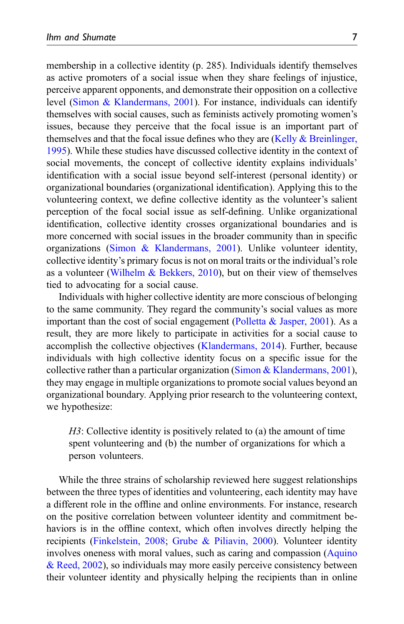membership in a collective identity (p. 285). Individuals identify themselves as active promoters of a social issue when they share feelings of injustice, perceive apparent opponents, and demonstrate their opposition on a collective level [\(Simon & Klandermans, 2001](#page-27-6)). For instance, individuals can identify themselves with social causes, such as feminists actively promoting women's issues, because they perceive that the focal issue is an important part of themselves and that the focal issue defines who they are  $(Kelly & Breinlinger,$ [1995\)](#page-25-6). While these studies have discussed collective identity in the context of social movements, the concept of collective identity explains individuals' identification with a social issue beyond self-interest (personal identity) or organizational boundaries (organizational identification). Applying this to the volunteering context, we define collective identity as the volunteer's salient perception of the focal social issue as self-defining. Unlike organizational identification, collective identity crosses organizational boundaries and is more concerned with social issues in the broader community than in specific organizations [\(Simon & Klandermans, 2001](#page-27-6)). Unlike volunteer identity, collective identity's primary focus is not on moral traits or the individual's role as a volunteer ([Wilhelm & Bekkers, 2010](#page-27-4)), but on their view of themselves tied to advocating for a social cause.

Individuals with higher collective identity are more conscious of belonging to the same community. They regard the community's social values as more important than the cost of social engagement (Polletta  $\&$  Jasper, 2001). As a result, they are more likely to participate in activities for a social cause to accomplish the collective objectives [\(Klandermans, 2014\)](#page-25-7). Further, because individuals with high collective identity focus on a specific issue for the collective rather than a particular organization [\(Simon & Klandermans, 2001\)](#page-27-6), they may engage in multiple organizations to promote social values beyond an organizational boundary. Applying prior research to the volunteering context, we hypothesize:

H3: Collective identity is positively related to (a) the amount of time spent volunteering and (b) the number of organizations for which a person volunteers.

While the three strains of scholarship reviewed here suggest relationships between the three types of identities and volunteering, each identity may have a different role in the offline and online environments. For instance, research on the positive correlation between volunteer identity and commitment behaviors is in the offline context, which often involves directly helping the recipients [\(Finkelstein, 2008](#page-24-5); [Grube & Piliavin, 2000\)](#page-24-6). Volunteer identity involves oneness with moral values, such as caring and compassion ([Aquino](#page-23-4) [& Reed, 2002\)](#page-23-4), so individuals may more easily perceive consistency between their volunteer identity and physically helping the recipients than in online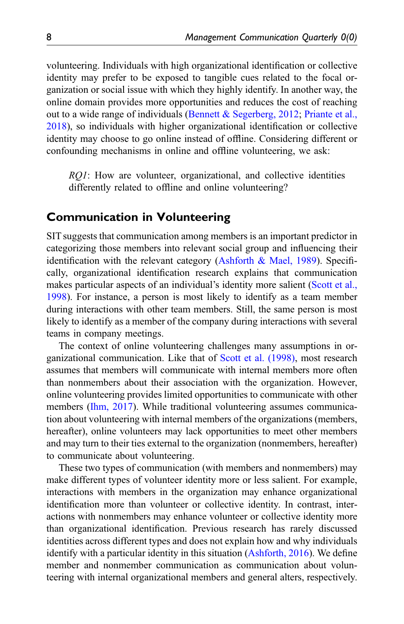volunteering. Individuals with high organizational identification or collective identity may prefer to be exposed to tangible cues related to the focal organization or social issue with which they highly identify. In another way, the online domain provides more opportunities and reduces the cost of reaching out to a wide range of individuals ([Bennett & Segerberg, 2012](#page-23-5); [Priante et al.,](#page-26-8) [2018\)](#page-26-8), so individuals with higher organizational identification or collective identity may choose to go online instead of offline. Considering different or confounding mechanisms in online and offline volunteering, we ask:

RQ1: How are volunteer, organizational, and collective identities differently related to offline and online volunteering?

# Communication in Volunteering

SIT suggests that communication among members is an important predictor in categorizing those members into relevant social group and influencing their identification with the relevant category (Ashforth  $\&$  Mael, 1989). Specifically, organizational identification research explains that communication makes particular aspects of an individual's identity more salient [\(Scott et al.,](#page-27-3) [1998\)](#page-27-3). For instance, a person is most likely to identify as a team member during interactions with other team members. Still, the same person is most likely to identify as a member of the company during interactions with several teams in company meetings.

The context of online volunteering challenges many assumptions in organizational communication. Like that of [Scott et al. \(1998\)](#page-27-3), most research assumes that members will communicate with internal members more often than nonmembers about their association with the organization. However, online volunteering provides limited opportunities to communicate with other members [\(Ihm, 2017](#page-25-1)). While traditional volunteering assumes communication about volunteering with internal members of the organizations (members, hereafter), online volunteers may lack opportunities to meet other members and may turn to their ties external to the organization (nonmembers, hereafter) to communicate about volunteering.

These two types of communication (with members and nonmembers) may make different types of volunteer identity more or less salient. For example, interactions with members in the organization may enhance organizational identification more than volunteer or collective identity. In contrast, interactions with nonmembers may enhance volunteer or collective identity more than organizational identification. Previous research has rarely discussed identities across different types and does not explain how and why individuals identify with a particular identity in this situation [\(Ashforth, 2016\)](#page-23-6). We define member and nonmember communication as communication about volunteering with internal organizational members and general alters, respectively.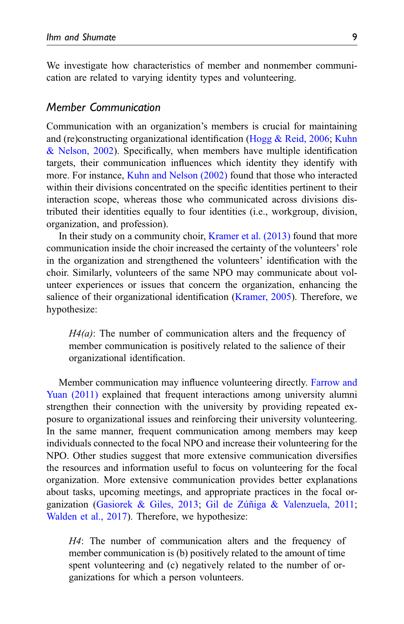We investigate how characteristics of member and nonmember communication are related to varying identity types and volunteering.

### Member Communication

Communication with an organization's members is crucial for maintaining and (re)constructing organizational identification ([Hogg & Reid, 2006](#page-24-4); [Kuhn](#page-25-2) [& Nelson, 2002\)](#page-25-2). Specifically, when members have multiple identification targets, their communication influences which identity they identify with more. For instance, [Kuhn and Nelson \(2002\)](#page-25-2) found that those who interacted within their divisions concentrated on the specific identities pertinent to their interaction scope, whereas those who communicated across divisions distributed their identities equally to four identities (i.e., workgroup, division, organization, and profession).

In their study on a community choir, [Kramer et al. \(2013\)](#page-25-4) found that more communication inside the choir increased the certainty of the volunteers' role in the organization and strengthened the volunteers' identification with the choir. Similarly, volunteers of the same NPO may communicate about volunteer experiences or issues that concern the organization, enhancing the salience of their organizational identification ([Kramer, 2005\)](#page-25-8). Therefore, we hypothesize:

 $H_1(a)$ : The number of communication alters and the frequency of member communication is positively related to the salience of their organizational identification.

Member communication may influence volunteering directly. [Farrow and](#page-24-8) [Yuan \(2011\)](#page-24-8) explained that frequent interactions among university alumni strengthen their connection with the university by providing repeated exposure to organizational issues and reinforcing their university volunteering. In the same manner, frequent communication among members may keep individuals connected to the focal NPO and increase their volunteering for the NPO. Other studies suggest that more extensive communication diversifies the resources and information useful to focus on volunteering for the focal organization. More extensive communication provides better explanations about tasks, upcoming meetings, and appropriate practices in the focal or-ganization ([Gasiorek & Giles, 2013;](#page-24-1) Gil de Zúñiga & Valenzuela, 2011; [Walden et al., 2017\)](#page-27-7). Therefore, we hypothesize:

H4: The number of communication alters and the frequency of member communication is (b) positively related to the amount of time spent volunteering and (c) negatively related to the number of organizations for which a person volunteers.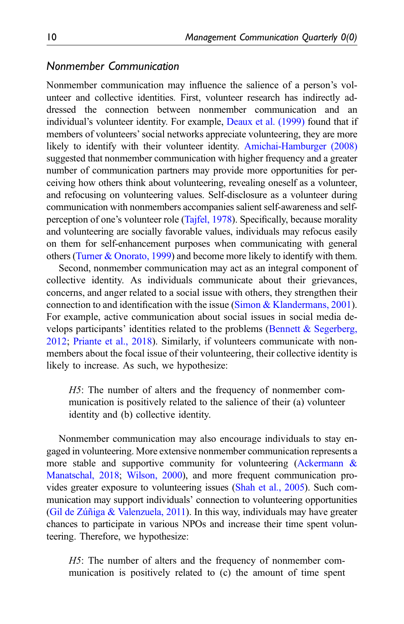# Nonmember Communication

Nonmember communication may influence the salience of a person's volunteer and collective identities. First, volunteer research has indirectly addressed the connection between nonmember communication and an individual's volunteer identity. For example, [Deaux et al. \(1999\)](#page-24-10) found that if members of volunteers' social networks appreciate volunteering, they are more likely to identify with their volunteer identity. [Amichai-Hamburger \(2008\)](#page-23-0) suggested that nonmember communication with higher frequency and a greater number of communication partners may provide more opportunities for perceiving how others think about volunteering, revealing oneself as a volunteer, and refocusing on volunteering values. Self-disclosure as a volunteer during communication with nonmembers accompanies salient self-awareness and selfperception of one's volunteer role ([Tajfel, 1978](#page-27-1)). Specifically, because morality and volunteering are socially favorable values, individuals may refocus easily on them for self-enhancement purposes when communicating with general others [\(Turner & Onorato, 1999\)](#page-27-2) and become more likely to identify with them.

Second, nonmember communication may act as an integral component of collective identity. As individuals communicate about their grievances, concerns, and anger related to a social issue with others, they strengthen their connection to and identification with the issue ([Simon & Klandermans, 2001\)](#page-27-6). For example, active communication about social issues in social media develops participants' identities related to the problems ([Bennett & Segerberg,](#page-23-5) [2012;](#page-23-5) [Priante et al., 2018](#page-26-8)). Similarly, if volunteers communicate with nonmembers about the focal issue of their volunteering, their collective identity is likely to increase. As such, we hypothesize:

H5: The number of alters and the frequency of nonmember communication is positively related to the salience of their (a) volunteer identity and (b) collective identity.

Nonmember communication may also encourage individuals to stay engaged in volunteering. More extensive nonmember communication represents a more stable and supportive community for volunteering ([Ackermann &](#page-23-7) [Manatschal, 2018;](#page-23-7) [Wilson, 2000\)](#page-27-8), and more frequent communication provides greater exposure to volunteering issues ([Shah et al., 2005\)](#page-27-9). Such communication may support individuals' connection to volunteering opportunities (Gil de Zúñiga & Valenzuela, 2011). In this way, individuals may have greater chances to participate in various NPOs and increase their time spent volunteering. Therefore, we hypothesize:

H5: The number of alters and the frequency of nonmember communication is positively related to (c) the amount of time spent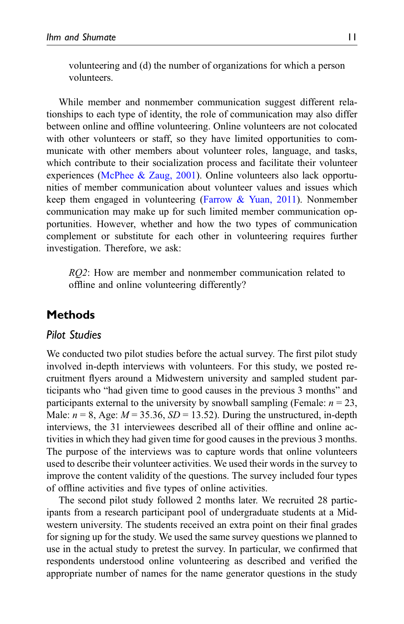volunteering and (d) the number of organizations for which a person volunteers.

While member and nonmember communication suggest different relationships to each type of identity, the role of communication may also differ between online and offline volunteering. Online volunteers are not colocated with other volunteers or staff, so they have limited opportunities to communicate with other members about volunteer roles, language, and tasks, which contribute to their socialization process and facilitate their volunteer experiences ([McPhee & Zaug, 2001](#page-26-9)). Online volunteers also lack opportunities of member communication about volunteer values and issues which keep them engaged in volunteering [\(Farrow & Yuan, 2011\)](#page-24-8). Nonmember communication may make up for such limited member communication opportunities. However, whether and how the two types of communication complement or substitute for each other in volunteering requires further investigation. Therefore, we ask:

RQ2: How are member and nonmember communication related to offline and online volunteering differently?

# Methods

# Pilot Studies

We conducted two pilot studies before the actual survey. The first pilot study involved in-depth interviews with volunteers. For this study, we posted recruitment flyers around a Midwestern university and sampled student participants who "had given time to good causes in the previous 3 months" and participants external to the university by snowball sampling (Female:  $n = 23$ , Male:  $n = 8$ , Age:  $M = 35.36$ ,  $SD = 13.52$ ). During the unstructured, in-depth interviews, the 31 interviewees described all of their offline and online activities in which they had given time for good causes in the previous 3 months. The purpose of the interviews was to capture words that online volunteers used to describe their volunteer activities. We used their words in the survey to improve the content validity of the questions. The survey included four types of offline activities and five types of online activities.

The second pilot study followed 2 months later. We recruited 28 participants from a research participant pool of undergraduate students at a Midwestern university. The students received an extra point on their final grades for signing up for the study. We used the same survey questions we planned to use in the actual study to pretest the survey. In particular, we confirmed that respondents understood online volunteering as described and verified the appropriate number of names for the name generator questions in the study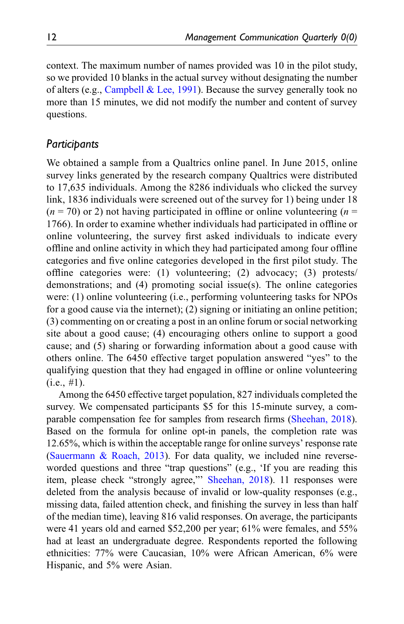context. The maximum number of names provided was 10 in the pilot study, so we provided 10 blanks in the actual survey without designating the number of alters (e.g., [Campbell & Lee, 1991\)](#page-24-11). Because the survey generally took no more than 15 minutes, we did not modify the number and content of survey questions.

# Participants

We obtained a sample from a Qualtrics online panel. In June 2015, online survey links generated by the research company Qualtrics were distributed to 17,635 individuals. Among the 8286 individuals who clicked the survey link, 1836 individuals were screened out of the survey for 1) being under 18  $(n = 70)$  or 2) not having participated in offline or online volunteering  $(n = 100)$ 1766). In order to examine whether individuals had participated in offline or online volunteering, the survey first asked individuals to indicate every offline and online activity in which they had participated among four offline categories and five online categories developed in the first pilot study. The offline categories were: (1) volunteering; (2) advocacy; (3) protests/ demonstrations; and (4) promoting social issue(s). The online categories were: (1) online volunteering (i.e., performing volunteering tasks for NPOs for a good cause via the internet); (2) signing or initiating an online petition; (3) commenting on or creating a post in an online forum or social networking site about a good cause; (4) encouraging others online to support a good cause; and (5) sharing or forwarding information about a good cause with others online. The 6450 effective target population answered "yes" to the qualifying question that they had engaged in offline or online volunteering  $(i.e., #1).$ 

Among the 6450 effective target population, 827 individuals completed the survey. We compensated participants \$5 for this 15-minute survey, a comparable compensation fee for samples from research firms ([Sheehan, 2018\)](#page-27-10). Based on the formula for online opt-in panels, the completion rate was 12.65%, which is within the acceptable range for online surveys' response rate ([Sauermann & Roach, 2013](#page-26-10)). For data quality, we included nine reverseworded questions and three "trap questions" (e.g., 'If you are reading this item, please check "strongly agree," [Sheehan, 2018](#page-27-10)). 11 responses were deleted from the analysis because of invalid or low-quality responses (e.g., missing data, failed attention check, and finishing the survey in less than half of the median time), leaving 816 valid responses. On average, the participants were 41 years old and earned \$52,200 per year; 61% were females, and 55% had at least an undergraduate degree. Respondents reported the following ethnicities: 77% were Caucasian, 10% were African American, 6% were Hispanic, and 5% were Asian.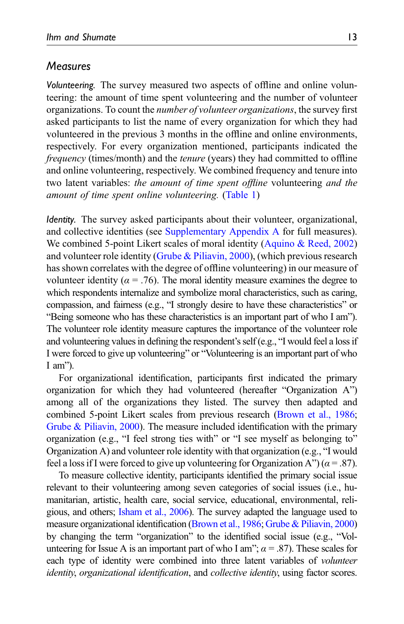### Measures

Volunteering. The survey measured two aspects of offline and online volunteering: the amount of time spent volunteering and the number of volunteer organizations. To count the number of volunteer organizations, the survey first asked participants to list the name of every organization for which they had volunteered in the previous 3 months in the offline and online environments, respectively. For every organization mentioned, participants indicated the frequency (times/month) and the tenure (years) they had committed to offline and online volunteering, respectively. We combined frequency and tenure into two latent variables: the amount of time spent offline volunteering and the amount of time spent online volunteering. [\(Table 1](#page-13-0))

Identity. The survey asked participants about their volunteer, organizational, and collective identities (see [Supplementary Appendix A](https://journals.sagepub.com/doi/supp/10.1177/08933189211073460) for full measures). We combined 5-point Likert scales of moral identity [\(Aquino & Reed, 2002](#page-23-4)) and volunteer role identity [\(Grube & Piliavin, 2000\)](#page-24-6), (which previous research has shown correlates with the degree of offline volunteering) in our measure of volunteer identity ( $\alpha = .76$ ). The moral identity measure examines the degree to which respondents internalize and symbolize moral characteristics, such as caring, compassion, and fairness (e.g., "I strongly desire to have these characteristics" or "Being someone who has these characteristics is an important part of who I am"). The volunteer role identity measure captures the importance of the volunteer role and volunteering values in defining the respondent's self (e.g., "I would feel a loss if I were forced to give up volunteering" or "Volunteering is an important part of who I am").

For organizational identification, participants first indicated the primary organization for which they had volunteered (hereafter "Organization A") among all of the organizations they listed. The survey then adapted and combined 5-point Likert scales from previous research ([Brown et al., 1986;](#page-23-8) [Grube & Piliavin, 2000\)](#page-24-6). The measure included identification with the primary organization (e.g., "I feel strong ties with" or "I see myself as belonging to" Organization A) and volunteer role identity with that organization (e.g., "I would feel a loss if I were forced to give up volunteering for Organization A") ( $\alpha$  = .87).

To measure collective identity, participants identified the primary social issue relevant to their volunteering among seven categories of social issues (i.e., humanitarian, artistic, health care, social service, educational, environmental, religious, and others; [Isham et al., 2006](#page-25-9)). The survey adapted the language used to measure organizational identification ([Brown et al., 1986](#page-23-8); [Grube & Piliavin, 2000](#page-24-6)) by changing the term "organization" to the identified social issue (e.g., "Volunteering for Issue A is an important part of who I am";  $\alpha$  = .87). These scales for each type of identity were combined into three latent variables of *volunteer* identity, organizational identification, and collective identity, using factor scores.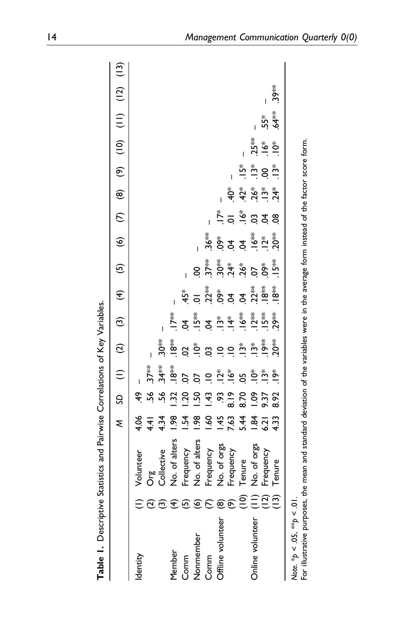<span id="page-13-0"></span>

| ξ                              |                 |                      | $SD$ (1) (2)     | $\widehat{c}$                                                                 | $\widehat{\mathcal{F}}$                                                                               | $\overline{5}$                                |                            |                                       |                                                    |                            |                                               |                                                     |         |                                                                                                                                                                            |
|--------------------------------|-----------------|----------------------|------------------|-------------------------------------------------------------------------------|-------------------------------------------------------------------------------------------------------|-----------------------------------------------|----------------------------|---------------------------------------|----------------------------------------------------|----------------------------|-----------------------------------------------|-----------------------------------------------------|---------|----------------------------------------------------------------------------------------------------------------------------------------------------------------------------|
| 4.06                           | ÷.              |                      |                  |                                                                               |                                                                                                       |                                               |                            |                                       |                                                    |                            |                                               |                                                     |         |                                                                                                                                                                            |
| 4.41                           | -56             | 37**                 |                  |                                                                               |                                                                                                       |                                               |                            |                                       |                                                    |                            |                                               |                                                     |         |                                                                                                                                                                            |
| 4.34                           | 56              | $34**$               | $30*$            |                                                                               |                                                                                                       |                                               |                            |                                       |                                                    |                            |                                               |                                                     |         |                                                                                                                                                                            |
| $\frac{8}{2}$<br>No. of alters | 32              | **8<br>-             | **8<br>!         | $\sum_{i=1}^{k}$                                                              |                                                                                                       |                                               |                            |                                       |                                                    |                            |                                               |                                                     |         |                                                                                                                                                                            |
| $\frac{1}{2}$                  | $\overline{50}$ | δŌ                   | S                | ξ.                                                                            | $45*$                                                                                                 |                                               |                            |                                       |                                                    |                            |                                               |                                                     |         |                                                                                                                                                                            |
| $\frac{8}{2}$<br>No. of alters | $\frac{50}{2}$  | δ.                   | $\sum_{i=1}^{n}$ | $-5$                                                                          |                                                                                                       | S.                                            |                            |                                       |                                                    |                            |                                               |                                                     |         |                                                                                                                                                                            |
| $\frac{6}{2}$                  | $\ddot{=}$      | $\frac{1}{2}$        |                  |                                                                               |                                                                                                       |                                               | **<br>?و                   |                                       |                                                    |                            |                                               |                                                     |         |                                                                                                                                                                            |
| $\frac{45}{5}$                 | δ,              | $\stackrel{*}{\sim}$ | $\frac{1}{2}$    |                                                                               |                                                                                                       |                                               |                            |                                       |                                                    |                            |                                               |                                                     |         |                                                                                                                                                                            |
| 7.63                           | $\frac{8}{18}$  | $\ddot{\bm{6}}$      | $\frac{1}{2}$    |                                                                               |                                                                                                       |                                               |                            |                                       |                                                    |                            |                                               |                                                     |         |                                                                                                                                                                            |
| 5.44                           | 8.70            | 5Ò                   |                  |                                                                               |                                                                                                       |                                               |                            |                                       | $42*$                                              | ڣۣ                         |                                               |                                                     |         |                                                                                                                                                                            |
| $\overline{3}$                 | $\frac{80}{1}$  |                      |                  |                                                                               |                                                                                                       |                                               |                            |                                       |                                                    |                            |                                               |                                                     |         |                                                                                                                                                                            |
|                                | 9.37            |                      |                  |                                                                               |                                                                                                       |                                               |                            |                                       |                                                    |                            |                                               | $55*$                                               |         |                                                                                                                                                                            |
|                                |                 | $\sum_{i=1}^{n}$     |                  |                                                                               |                                                                                                       | $15**$                                        |                            | 8                                     |                                                    |                            |                                               | $\frac{1}{2}$                                       | $.39**$ |                                                                                                                                                                            |
|                                |                 |                      |                  |                                                                               |                                                                                                       |                                               |                            |                                       |                                                    |                            |                                               |                                                     |         |                                                                                                                                                                            |
|                                | $6.21$<br>4.33  | 8.92                 | Ő.<br>$\ddot{5}$ | $\sum_{i=1}^{n}$<br>$20*$<br>$\sum_{i=1}^{n}$<br>$\ddot{3}$<br>$\ddot{\rm s}$ | ≸.<br>$25*$<br>$-25*$<br>$\stackrel{*}{\Delta} \stackrel{*}{\sim} \stackrel{*}{\stackrel{*}{\Delta}}$ | <u>s c g g g g g g g</u><br>s g g g g g g g g | ي چ <i>ي</i><br>19 من پيون | ू<br>इंद्र दुँ =<br>$.12^{*}$<br>30** | $\sum_{i=1}^{k}$<br>$\stackrel{*}{\bullet}$<br>S g | $26 *$<br>$-13 *$<br>$24*$ | $\stackrel{*}{\simeq} 8 \stackrel{*}{\simeq}$ | $25**$<br>$\stackrel{*}{\circ}$<br>$\sum_{i=1}^{8}$ |         | (c) (z) (l) (ol) (6) (8) (2) (9)<br>For illustrative purposes, the mean and standard deviation of the variables were in the average form instead of the factor score form. |

**Table 1** December Section and Poincies Correlations of  $K_{\alpha\alpha}$  Variables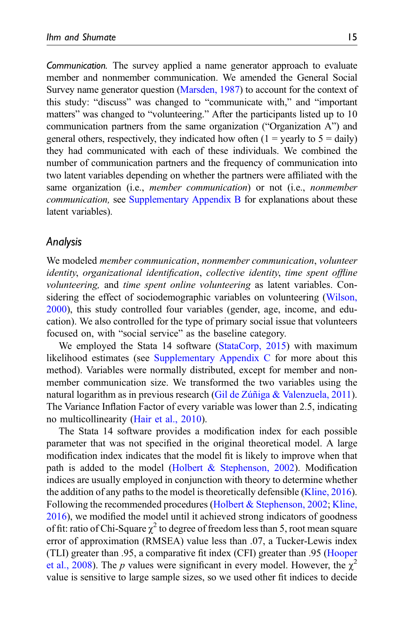Communication. The survey applied a name generator approach to evaluate member and nonmember communication. We amended the General Social Survey name generator question ([Marsden, 1987\)](#page-26-11) to account for the context of this study: "discuss" was changed to "communicate with," and "important matters" was changed to "volunteering." After the participants listed up to 10 communication partners from the same organization ("Organization A") and general others, respectively, they indicated how often  $(1 = \text{yearly to } 5 = \text{daily})$ they had communicated with each of these individuals. We combined the number of communication partners and the frequency of communication into two latent variables depending on whether the partners were affiliated with the same organization (i.e., member communication) or not (i.e., nonmember communication, see [Supplementary Appendix B](https://journals.sagepub.com/doi/supp/10.1177/08933189211073460) for explanations about these latent variables).

# Analysis

We modeled member communication, nonmember communication, volunteer identity, organizational identification, collective identity, time spent offline volunteering, and time spent online volunteering as latent variables. Considering the effect of sociodemographic variables on volunteering ([Wilson,](#page-27-8) [2000\)](#page-27-8), this study controlled four variables (gender, age, income, and education). We also controlled for the type of primary social issue that volunteers focused on, with "social service" as the baseline category.

We employed the Stata 14 software [\(StataCorp, 2015\)](#page-27-11) with maximum likelihood estimates (see [Supplementary Appendix C](https://journals.sagepub.com/doi/supp/10.1177/08933189211073460) for more about this method). Variables were normally distributed, except for member and nonmember communication size. We transformed the two variables using the natural logarithm as in previous research (Gil de Zúñiga & Valenzuela, 2011). The Variance Inflation Factor of every variable was lower than 2.5, indicating no multicollinearity ([Hair et al., 2010\)](#page-24-12).

The Stata 14 software provides a modification index for each possible parameter that was not specified in the original theoretical model. A large modification index indicates that the model fit is likely to improve when that path is added to the model (Holbert  $\&$  Stephenson, 2002). Modification indices are usually employed in conjunction with theory to determine whether the addition of any paths to the model is theoretically defensible [\(Kline, 2016\)](#page-25-11). Following the recommended procedures [\(Holbert & Stephenson, 2002](#page-25-10); [Kline,](#page-25-11) [2016\)](#page-25-11), we modified the model until it achieved strong indicators of goodness of fit: ratio of Chi-Square  $\chi^2$  to degree of freedom less than 5, root mean square error of approximation (RMSEA) value less than .07, a Tucker-Lewis index (TLI) greater than .95, a comparative fit index (CFI) greater than .95 ([Hooper](#page-25-12) [et al., 2008\)](#page-25-12). The p values were significant in every model. However, the  $\chi^2$ value is sensitive to large sample sizes, so we used other fit indices to decide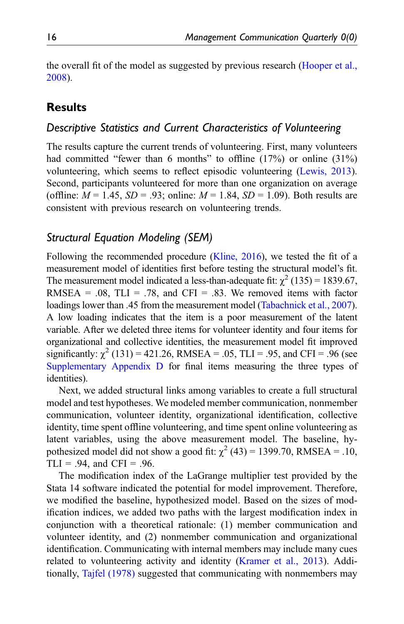the overall fit of the model as suggested by previous research [\(Hooper et al.,](#page-25-12) [2008\)](#page-25-12).

# **Results**

# Descriptive Statistics and Current Characteristics of Volunteering

The results capture the current trends of volunteering. First, many volunteers had committed "fewer than 6 months" to offline (17%) or online (31%) volunteering, which seems to reflect episodic volunteering ([Lewis, 2013\)](#page-26-12). Second, participants volunteered for more than one organization on average (offline:  $M = 1.45$ ,  $SD = .93$ ; online:  $M = 1.84$ ,  $SD = 1.09$ ). Both results are consistent with previous research on volunteering trends.

# Structural Equation Modeling (SEM)

Following the recommended procedure [\(Kline, 2016](#page-25-11)), we tested the fit of a measurement model of identities first before testing the structural model's fit. The measurement model indicated a less-than-adequate fit:  $\chi^2$  (135) = 1839.67, RMSEA =  $.08$ , TLI =  $.78$ , and CFI =  $.83$ . We removed items with factor loadings lower than .45 from the measurement model ([Tabachnick et al., 2007\)](#page-27-12). A low loading indicates that the item is a poor measurement of the latent variable. After we deleted three items for volunteer identity and four items for organizational and collective identities, the measurement model fit improved significantly:  $\gamma^2$  (131) = 421.26, RMSEA = .05, TLI = .95, and CFI = .96 (see [Supplementary Appendix D](https://journals.sagepub.com/doi/supp/10.1177/08933189211073460) for final items measuring the three types of identities).

Next, we added structural links among variables to create a full structural model and test hypotheses. We modeled member communication, nonmember communication, volunteer identity, organizational identification, collective identity, time spent offline volunteering, and time spent online volunteering as latent variables, using the above measurement model. The baseline, hypothesized model did not show a good fit:  $\chi^2$  (43) = 1399.70, RMSEA = .10, TLI = .94, and CFI = .96.

The modification index of the LaGrange multiplier test provided by the Stata 14 software indicated the potential for model improvement. Therefore, we modified the baseline, hypothesized model. Based on the sizes of modification indices, we added two paths with the largest modification index in conjunction with a theoretical rationale: (1) member communication and volunteer identity, and (2) nonmember communication and organizational identification. Communicating with internal members may include many cues related to volunteering activity and identity [\(Kramer et al., 2013](#page-25-4)). Additionally, [Tajfel \(1978\)](#page-27-1) suggested that communicating with nonmembers may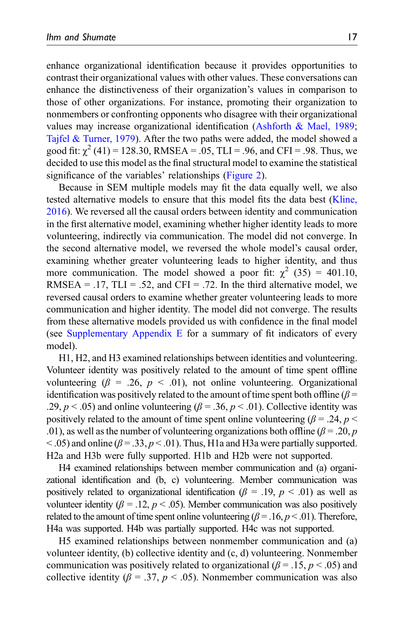enhance organizational identification because it provides opportunities to contrast their organizational values with other values. These conversations can enhance the distinctiveness of their organization's values in comparison to those of other organizations. For instance, promoting their organization to nonmembers or confronting opponents who disagree with their organizational values may increase organizational identification ([Ashforth & Mael, 1989;](#page-23-1) [Tajfel & Turner, 1979\)](#page-27-13). After the two paths were added, the model showed a good fit:  $\chi^2$  (41) = 128.30, RMSEA = .05, TLI = .96, and CFI = .98. Thus, we decided to use this model as the final structural model to examine the statistical significance of the variables' relationships [\(Figure 2](#page-3-1)).

Because in SEM multiple models may fit the data equally well, we also tested alternative models to ensure that this model fits the data best ([Kline,](#page-25-11) [2016\)](#page-25-11). We reversed all the causal orders between identity and communication in the first alternative model, examining whether higher identity leads to more volunteering, indirectly via communication. The model did not converge. In the second alternative model, we reversed the whole model's causal order, examining whether greater volunteering leads to higher identity, and thus more communication. The model showed a poor fit:  $\chi^2$  (35) = 401.10, RMSEA =  $.17$ , TLI =  $.52$ , and CFI =  $.72$ . In the third alternative model, we reversed causal orders to examine whether greater volunteering leads to more communication and higher identity. The model did not converge. The results from these alternative models provided us with confidence in the final model (see [Supplementary Appendix E](https://journals.sagepub.com/doi/supp/10.1177/08933189211073460) for a summary of fit indicators of every model).

H1, H2, and H3 examined relationships between identities and volunteering. Volunteer identity was positively related to the amount of time spent offline volunteering ( $\beta = .26$ ,  $p < .01$ ), not online volunteering. Organizational identification was positively related to the amount of time spent both offline ( $\beta$  = .29,  $p < .05$ ) and online volunteering ( $\beta = .36$ ,  $p < .01$ ). Collective identity was positively related to the amount of time spent online volunteering ( $\beta = .24$ ,  $p <$ .01), as well as the number of volunteering organizations both offline ( $\beta$  = .20, p  $<$  0.05) and online ( $\beta$  = 0.33,  $p$   $<$  0.01). Thus, H1a and H3a were partially supported. H2a and H3b were fully supported. H1b and H2b were not supported.

H4 examined relationships between member communication and (a) organizational identification and (b, c) volunteering. Member communication was positively related to organizational identification ( $\beta = .19$ ,  $p < .01$ ) as well as volunteer identity ( $\beta = 0.12$ ,  $p < 0.05$ ). Member communication was also positively related to the amount of time spent online volunteering ( $\beta = .16, p < .01$ ). Therefore, H4a was supported. H4b was partially supported. H4c was not supported.

H5 examined relationships between nonmember communication and (a) volunteer identity, (b) collective identity and (c, d) volunteering. Nonmember communication was positively related to organizational ( $\beta = .15$ ,  $p < .05$ ) and collective identity ( $\beta = .37$ ,  $p < .05$ ). Nonmember communication was also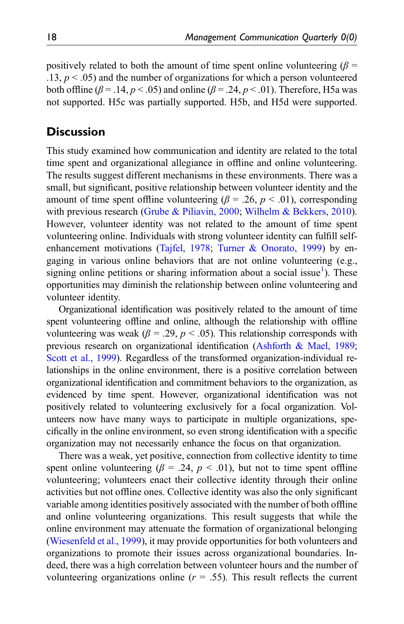positively related to both the amount of time spent online volunteering ( $\beta$  =  $.13, p \leq .05$  and the number of organizations for which a person volunteered both offline ( $\beta$  = .14,  $p$  < .05) and online ( $\beta$  = .24,  $p$  < .01). Therefore, H5a was not supported. H5c was partially supported. H5b, and H5d were supported.

# **Discussion**

This study examined how communication and identity are related to the total time spent and organizational allegiance in offline and online volunteering. The results suggest different mechanisms in these environments. There was a small, but significant, positive relationship between volunteer identity and the amount of time spent offline volunteering ( $\beta$  = .26,  $p$  < .01), corresponding with previous research [\(Grube & Piliavin, 2000;](#page-24-6) [Wilhelm & Bekkers, 2010\)](#page-27-4). However, volunteer identity was not related to the amount of time spent volunteering online. Individuals with strong volunteer identity can fulfill selfenhancement motivations ([Tajfel, 1978](#page-27-1); [Turner & Onorato, 1999\)](#page-27-2) by engaging in various online behaviors that are not online volunteering (e.g., signing online petitions or sharing information about a social issue<sup>[1](#page-23-9)</sup>). These opportunities may diminish the relationship between online volunteering and volunteer identity.

Organizational identification was positively related to the amount of time spent volunteering offline and online, although the relationship with offline volunteering was weak ( $\beta = .29$ ,  $p < .05$ ). This relationship corresponds with previous research on organizational identification [\(Ashforth & Mael, 1989;](#page-23-1) [Scott et al., 1999](#page-26-0)). Regardless of the transformed organization-individual relationships in the online environment, there is a positive correlation between organizational identification and commitment behaviors to the organization, as evidenced by time spent. However, organizational identification was not positively related to volunteering exclusively for a focal organization. Volunteers now have many ways to participate in multiple organizations, specifically in the online environment, so even strong identification with a specific organization may not necessarily enhance the focus on that organization.

There was a weak, yet positive, connection from collective identity to time spent online volunteering ( $\beta = .24$ ,  $p < .01$ ), but not to time spent offline volunteering; volunteers enact their collective identity through their online activities but not offline ones. Collective identity was also the only significant variable among identities positively associated with the number of both offline and online volunteering organizations. This result suggests that while the online environment may attenuate the formation of organizational belonging ([Wiesenfeld et al., 1999\)](#page-27-0), it may provide opportunities for both volunteers and organizations to promote their issues across organizational boundaries. Indeed, there was a high correlation between volunteer hours and the number of volunteering organizations online ( $r = .55$ ). This result reflects the current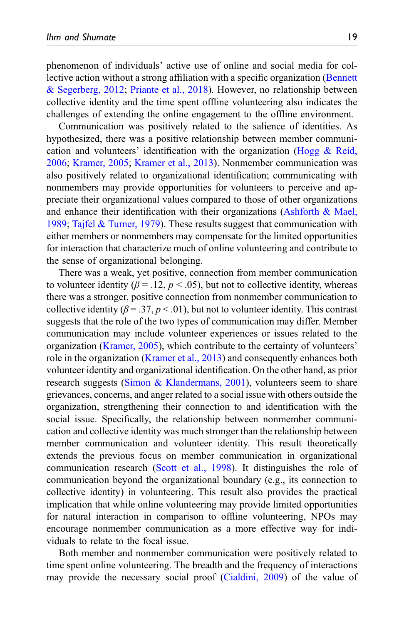phenomenon of individuals' active use of online and social media for collective action without a strong affiliation with a specific organization ([Bennett](#page-23-5) [& Segerberg, 2012;](#page-23-5) [Priante et al., 2018](#page-26-8)). However, no relationship between collective identity and the time spent offline volunteering also indicates the challenges of extending the online engagement to the offline environment.

Communication was positively related to the salience of identities. As hypothesized, there was a positive relationship between member communication and volunteers' identification with the organization [\(Hogg & Reid,](#page-24-4) [2006;](#page-24-4) [Kramer, 2005](#page-25-8); [Kramer et al., 2013\)](#page-25-4). Nonmember communication was also positively related to organizational identification; communicating with nonmembers may provide opportunities for volunteers to perceive and appreciate their organizational values compared to those of other organizations and enhance their identification with their organizations (Ashforth  $\&$  Mael, [1989;](#page-23-1) [Tajfel & Turner, 1979](#page-27-13)). These results suggest that communication with either members or nonmembers may compensate for the limited opportunities for interaction that characterize much of online volunteering and contribute to the sense of organizational belonging.

There was a weak, yet positive, connection from member communication to volunteer identity ( $\beta = 0.12$ ,  $p < 0.05$ ), but not to collective identity, whereas there was a stronger, positive connection from nonmember communication to collective identity ( $\beta = 0.37, p < 0.01$ ), but not to volunteer identity. This contrast suggests that the role of the two types of communication may differ. Member communication may include volunteer experiences or issues related to the organization ([Kramer, 2005](#page-25-8)), which contribute to the certainty of volunteers' role in the organization ([Kramer et al., 2013\)](#page-25-4) and consequently enhances both volunteer identity and organizational identification. On the other hand, as prior research suggests ([Simon & Klandermans, 2001](#page-27-6)), volunteers seem to share grievances, concerns, and anger related to a social issue with others outside the organization, strengthening their connection to and identification with the social issue. Specifically, the relationship between nonmember communication and collective identity was much stronger than the relationship between member communication and volunteer identity. This result theoretically extends the previous focus on member communication in organizational communication research ([Scott et al., 1998](#page-27-3)). It distinguishes the role of communication beyond the organizational boundary (e.g., its connection to collective identity) in volunteering. This result also provides the practical implication that while online volunteering may provide limited opportunities for natural interaction in comparison to offline volunteering, NPOs may encourage nonmember communication as a more effective way for individuals to relate to the focal issue.

Both member and nonmember communication were positively related to time spent online volunteering. The breadth and the frequency of interactions may provide the necessary social proof [\(Cialdini, 2009](#page-24-13)) of the value of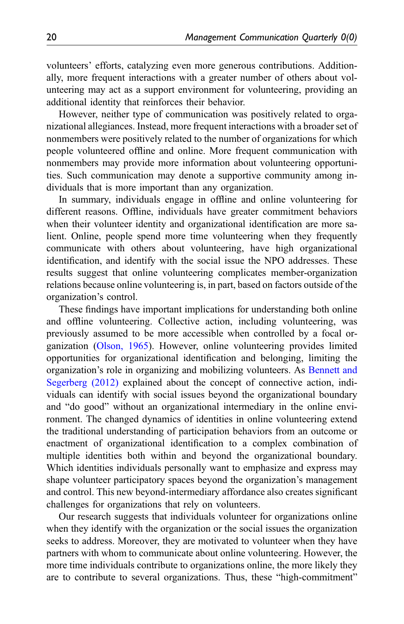volunteers' efforts, catalyzing even more generous contributions. Additionally, more frequent interactions with a greater number of others about volunteering may act as a support environment for volunteering, providing an additional identity that reinforces their behavior.

However, neither type of communication was positively related to organizational allegiances. Instead, more frequent interactions with a broader set of nonmembers were positively related to the number of organizations for which people volunteered offline and online. More frequent communication with nonmembers may provide more information about volunteering opportunities. Such communication may denote a supportive community among individuals that is more important than any organization.

In summary, individuals engage in offline and online volunteering for different reasons. Offline, individuals have greater commitment behaviors when their volunteer identity and organizational identification are more salient. Online, people spend more time volunteering when they frequently communicate with others about volunteering, have high organizational identification, and identify with the social issue the NPO addresses. These results suggest that online volunteering complicates member-organization relations because online volunteering is, in part, based on factors outside of the organization's control.

These findings have important implications for understanding both online and offline volunteering. Collective action, including volunteering, was previously assumed to be more accessible when controlled by a focal organization ([Olson, 1965\)](#page-26-13). However, online volunteering provides limited opportunities for organizational identification and belonging, limiting the organization's role in organizing and mobilizing volunteers. As [Bennett and](#page-23-5) [Segerberg \(2012\)](#page-23-5) explained about the concept of connective action, individuals can identify with social issues beyond the organizational boundary and "do good" without an organizational intermediary in the online environment. The changed dynamics of identities in online volunteering extend the traditional understanding of participation behaviors from an outcome or enactment of organizational identification to a complex combination of multiple identities both within and beyond the organizational boundary. Which identities individuals personally want to emphasize and express may shape volunteer participatory spaces beyond the organization's management and control. This new beyond-intermediary affordance also creates significant challenges for organizations that rely on volunteers.

Our research suggests that individuals volunteer for organizations online when they identify with the organization or the social issues the organization seeks to address. Moreover, they are motivated to volunteer when they have partners with whom to communicate about online volunteering. However, the more time individuals contribute to organizations online, the more likely they are to contribute to several organizations. Thus, these "high-commitment"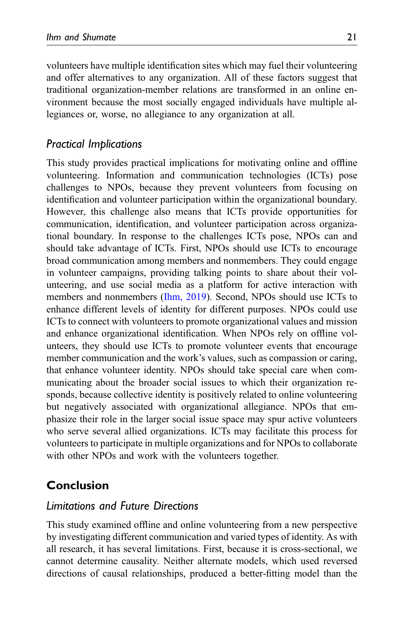volunteers have multiple identification sites which may fuel their volunteering and offer alternatives to any organization. All of these factors suggest that traditional organization-member relations are transformed in an online environment because the most socially engaged individuals have multiple allegiances or, worse, no allegiance to any organization at all.

# Practical Implications

This study provides practical implications for motivating online and offline volunteering. Information and communication technologies (ICTs) pose challenges to NPOs, because they prevent volunteers from focusing on identification and volunteer participation within the organizational boundary. However, this challenge also means that ICTs provide opportunities for communication, identification, and volunteer participation across organizational boundary. In response to the challenges ICTs pose, NPOs can and should take advantage of ICTs. First, NPOs should use ICTs to encourage broad communication among members and nonmembers. They could engage in volunteer campaigns, providing talking points to share about their volunteering, and use social media as a platform for active interaction with members and nonmembers ([Ihm, 2019](#page-25-13)). Second, NPOs should use ICTs to enhance different levels of identity for different purposes. NPOs could use ICTs to connect with volunteers to promote organizational values and mission and enhance organizational identification. When NPOs rely on offline volunteers, they should use ICTs to promote volunteer events that encourage member communication and the work's values, such as compassion or caring, that enhance volunteer identity. NPOs should take special care when communicating about the broader social issues to which their organization responds, because collective identity is positively related to online volunteering but negatively associated with organizational allegiance. NPOs that emphasize their role in the larger social issue space may spur active volunteers who serve several allied organizations. ICTs may facilitate this process for volunteers to participate in multiple organizations and for NPOs to collaborate with other NPOs and work with the volunteers together.

# Conclusion

# Limitations and Future Directions

This study examined offline and online volunteering from a new perspective by investigating different communication and varied types of identity. As with all research, it has several limitations. First, because it is cross-sectional, we cannot determine causality. Neither alternate models, which used reversed directions of causal relationships, produced a better-fitting model than the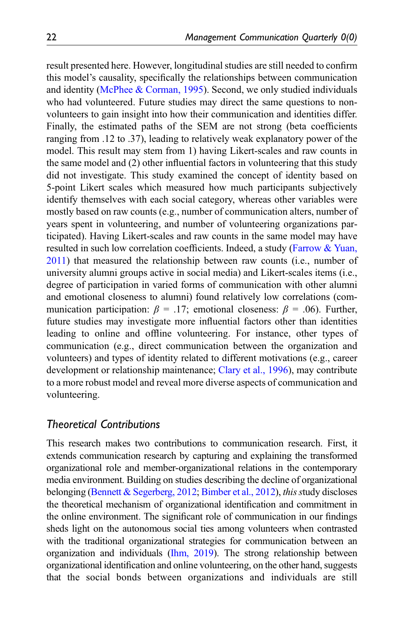result presented here. However, longitudinal studies are still needed to confirm this model's causality, specifically the relationships between communication and identity ([McPhee & Corman, 1995\)](#page-26-14). Second, we only studied individuals who had volunteered. Future studies may direct the same questions to nonvolunteers to gain insight into how their communication and identities differ. Finally, the estimated paths of the SEM are not strong (beta coefficients ranging from .12 to .37), leading to relatively weak explanatory power of the model. This result may stem from 1) having Likert-scales and raw counts in the same model and (2) other influential factors in volunteering that this study did not investigate. This study examined the concept of identity based on 5-point Likert scales which measured how much participants subjectively identify themselves with each social category, whereas other variables were mostly based on raw counts (e.g., number of communication alters, number of years spent in volunteering, and number of volunteering organizations participated). Having Likert-scales and raw counts in the same model may have resulted in such low correlation coefficients. Indeed, a study ([Farrow & Yuan,](#page-24-8) [2011](#page-24-8)) that measured the relationship between raw counts (i.e., number of university alumni groups active in social media) and Likert-scales items (i.e., degree of participation in varied forms of communication with other alumni and emotional closeness to alumni) found relatively low correlations (communication participation:  $\beta = .17$ ; emotional closeness:  $\beta = .06$ ). Further, future studies may investigate more influential factors other than identities leading to online and offline volunteering. For instance, other types of communication (e.g., direct communication between the organization and volunteers) and types of identity related to different motivations (e.g., career development or relationship maintenance; [Clary et al., 1996\)](#page-24-14), may contribute to a more robust model and reveal more diverse aspects of communication and volunteering.

#### Theoretical Contributions

This research makes two contributions to communication research. First, it extends communication research by capturing and explaining the transformed organizational role and member-organizational relations in the contemporary media environment. Building on studies describing the decline of organizational belonging [\(Bennett & Segerberg, 2012;](#page-23-5) [Bimber et al., 2012\)](#page-23-10), this study discloses the theoretical mechanism of organizational identification and commitment in the online environment. The significant role of communication in our findings sheds light on the autonomous social ties among volunteers when contrasted with the traditional organizational strategies for communication between an organization and individuals [\(Ihm, 2019](#page-25-13)). The strong relationship between organizational identification and online volunteering, on the other hand, suggests that the social bonds between organizations and individuals are still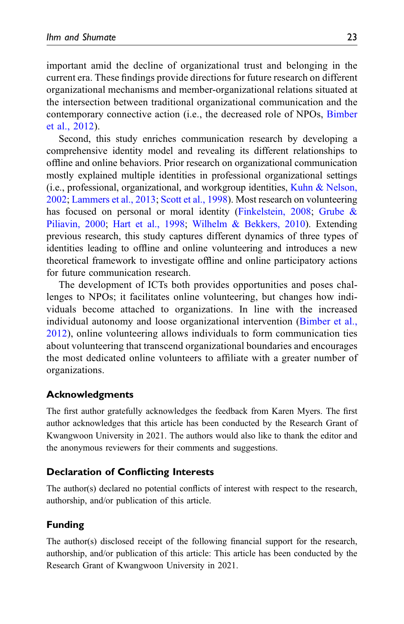important amid the decline of organizational trust and belonging in the current era. These findings provide directions for future research on different organizational mechanisms and member-organizational relations situated at the intersection between traditional organizational communication and the contemporary connective action (i.e., the decreased role of NPOs, [Bimber](#page-23-10) [et al., 2012](#page-23-10)).

Second, this study enriches communication research by developing a comprehensive identity model and revealing its different relationships to offline and online behaviors. Prior research on organizational communication mostly explained multiple identities in professional organizational settings (i.e., professional, organizational, and workgroup identities, [Kuhn & Nelson,](#page-25-2) [2002;](#page-25-2) [Lammers et al., 2013;](#page-26-4) [Scott et al., 1998](#page-27-3)). Most research on volunteering has focused on personal or moral identity ([Finkelstein, 2008](#page-24-5); [Grube &](#page-24-6) [Piliavin, 2000](#page-24-6); [Hart et al., 1998](#page-24-7); [Wilhelm & Bekkers, 2010](#page-27-4)). Extending previous research, this study captures different dynamics of three types of identities leading to offline and online volunteering and introduces a new theoretical framework to investigate offline and online participatory actions for future communication research.

The development of ICTs both provides opportunities and poses challenges to NPOs; it facilitates online volunteering, but changes how individuals become attached to organizations. In line with the increased individual autonomy and loose organizational intervention ([Bimber et al.,](#page-23-10) [2012\)](#page-23-10), online volunteering allows individuals to form communication ties about volunteering that transcend organizational boundaries and encourages the most dedicated online volunteers to affiliate with a greater number of organizations.

# Acknowledgments

The first author gratefully acknowledges the feedback from Karen Myers. The first author acknowledges that this article has been conducted by the Research Grant of Kwangwoon University in 2021. The authors would also like to thank the editor and the anonymous reviewers for their comments and suggestions.

#### Declaration of Conflicting Interests

The author(s) declared no potential conflicts of interest with respect to the research, authorship, and/or publication of this article.

# Funding

The author(s) disclosed receipt of the following financial support for the research, authorship, and/or publication of this article: This article has been conducted by the Research Grant of Kwangwoon University in 2021.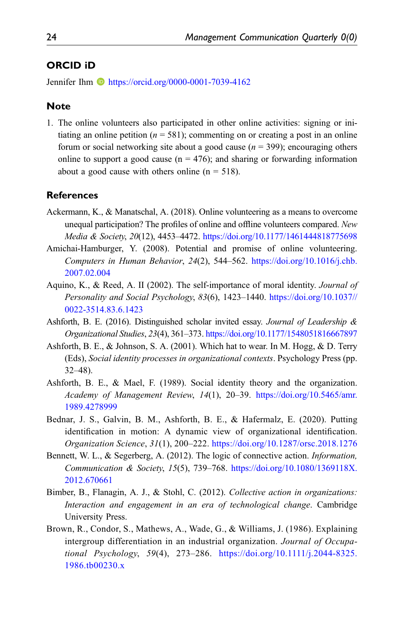#### ORCID iD

Jennifer Ihm **b** <https://orcid.org/0000-0001-7039-4162>

#### Note

<span id="page-23-9"></span>1. The online volunteers also participated in other online activities: signing or initiating an online petition ( $n = 581$ ); commenting on or creating a post in an online forum or social networking site about a good cause ( $n = 399$ ); encouraging others online to support a good cause ( $n = 476$ ); and sharing or forwarding information about a good cause with others online  $(n = 518)$ .

#### **References**

- <span id="page-23-7"></span>Ackermann, K., & Manatschal, A. (2018). Online volunteering as a means to overcome unequal participation? The profiles of online and offline volunteers compared. New Media & Society, 20(12), 4453-4472. <https://doi.org/10.1177/1461444818775698>
- <span id="page-23-0"></span>Amichai-Hamburger, Y. (2008). Potential and promise of online volunteering. Computers in Human Behavior, 24(2), 544–562. [https://doi.org/10.1016/j.chb.](https://doi.org/10.1016/j.chb.2007.02.004) [2007.02.004](https://doi.org/10.1016/j.chb.2007.02.004)
- <span id="page-23-4"></span>Aquino, K., & Reed, A. II (2002). The self-importance of moral identity. Journal of Personality and Social Psychology, 83(6), 1423–1440. [https://doi.org/10.1037//](https://doi.org/10.1037//0022-3514.83.6.1423) [0022-3514.83.6.1423](https://doi.org/10.1037//0022-3514.83.6.1423)
- <span id="page-23-6"></span>Ashforth, B. E. (2016). Distinguished scholar invited essay. Journal of Leadership & Organizational Studies, 23(4), 361–373. <https://doi.org/10.1177/1548051816667897>
- <span id="page-23-3"></span>Ashforth, B. E., & Johnson, S. A. (2001). Which hat to wear. In M. Hogg, & D. Terry (Eds), Social identity processes in organizational contexts. Psychology Press (pp. 32–48).
- <span id="page-23-1"></span>Ashforth, B. E., & Mael, F. (1989). Social identity theory and the organization. Academy of Management Review, 14(1), 20–39. [https://doi.org/10.5465/amr.](https://doi.org/10.5465/amr.1989.4278999) [1989.4278999](https://doi.org/10.5465/amr.1989.4278999)
- <span id="page-23-2"></span>Bednar, J. S., Galvin, B. M., Ashforth, B. E., & Hafermalz, E. (2020). Putting identification in motion: A dynamic view of organizational identification. Organization Science, 31(1), 200–222. <https://doi.org/10.1287/orsc.2018.1276>
- <span id="page-23-5"></span>Bennett, W. L., & Segerberg, A. (2012). The logic of connective action. Information, Communication & Society, 15(5), 739–768. [https://doi.org/10.1080/1369118X.](https://doi.org/10.1080/1369118X.2012.670661) [2012.670661](https://doi.org/10.1080/1369118X.2012.670661)
- <span id="page-23-10"></span>Bimber, B., Flanagin, A. J., & Stohl, C. (2012). Collective action in organizations: Interaction and engagement in an era of technological change. Cambridge University Press.
- <span id="page-23-8"></span>Brown, R., Condor, S., Mathews, A., Wade, G., & Williams, J. (1986). Explaining intergroup differentiation in an industrial organization. Journal of Occupational Psychology, 59(4), 273–286. [https://doi.org/10.1111/j.2044-8325.](https://doi.org/10.1111/j.2044-8325.1986.tb00230.x) [1986.tb00230.x](https://doi.org/10.1111/j.2044-8325.1986.tb00230.x)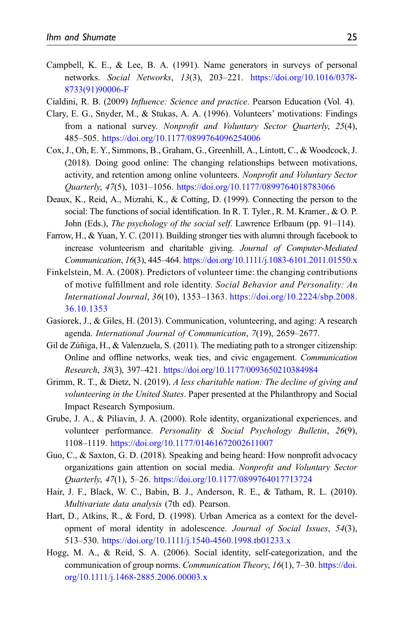- <span id="page-24-11"></span>Campbell, K. E., & Lee, B. A. (1991). Name generators in surveys of personal networks. Social Networks, 13(3), 203–221. [https://doi.org/10.1016/0378-](https://doi.org/10.1016/0378-8733(91)90006-F) [8733\(91\)90006-F](https://doi.org/10.1016/0378-8733(91)90006-F)
- <span id="page-24-14"></span><span id="page-24-13"></span>Cialdini, R. B. (2009) Influence: Science and practice. Pearson Education (Vol. 4).
- Clary, E. G., Snyder, M., & Stukas, A. A. (1996). Volunteers' motivations: Findings from a national survey. Nonprofit and Voluntary Sector Quarterly, 25(4), 485–505. <https://doi.org/10.1177/0899764096254006>
- <span id="page-24-0"></span>Cox, J., Oh, E. Y., Simmons, B., Graham, G., Greenhill, A., Lintott, C., & Woodcock, J. (2018). Doing good online: The changing relationships between motivations, activity, and retention among online volunteers. Nonprofit and Voluntary Sector Quarterly, 47(5), 1031–1056. <https://doi.org/10.1177/0899764018783066>
- <span id="page-24-10"></span>Deaux, K., Reid, A., Mizrahi, K., & Cotting, D. (1999). Connecting the person to the social: The functions of social identification. In R. T. Tyler., R. M. Kramer., & O. P. John (Eds.), The psychology of the social self. Lawrence Erlbaum (pp. 91–114).
- <span id="page-24-8"></span>Farrow, H., & Yuan, Y. C. (2011). Building stronger ties with alumni through facebook to increase volunteerism and charitable giving. Journal of Computer-Mediated Communication, 16(3), 445–464. <https://doi.org/10.1111/j.1083-6101.2011.01550.x>
- <span id="page-24-5"></span>Finkelstein, M. A. (2008). Predictors of volunteer time: the changing contributions of motive fulfillment and role identity. Social Behavior and Personality: An International Journal, 36(10), 1353–1363. [https://doi.org/10.2224/sbp.2008.](https://doi.org/10.2224/sbp.2008.36.10.1353) [36.10.1353](https://doi.org/10.2224/sbp.2008.36.10.1353)
- <span id="page-24-1"></span>Gasiorek, J., & Giles, H. (2013). Communication, volunteering, and aging: A research agenda. International Journal of Communication, 7(19), 2659–2677.
- <span id="page-24-9"></span>Gil de Zúñiga, H., & Valenzuela, S.  $(2011)$ . The mediating path to a stronger citizenship: Online and offline networks, weak ties, and civic engagement. Communication Research, 38(3), 397–421. <https://doi.org/10.1177/0093650210384984>
- <span id="page-24-2"></span>Grimm, R. T., & Dietz, N. (2019). A less charitable nation: The decline of giving and volunteering in the United States. Paper presented at the Philanthropy and Social Impact Research Symposium.
- <span id="page-24-6"></span>Grube, J. A., & Piliavin, J. A. (2000). Role identity, organizational experiences, and volunteer performance. Personality & Social Psychology Bulletin, 26(9), 1108–1119. <https://doi.org/10.1177/01461672002611007>
- <span id="page-24-3"></span>Guo, C., & Saxton, G. D. (2018). Speaking and being heard: How nonprofit advocacy organizations gain attention on social media. Nonprofit and Voluntary Sector Quarterly, 47(1), 5–26. <https://doi.org/10.1177/0899764017713724>
- <span id="page-24-12"></span>Hair, J. F., Black, W. C., Babin, B. J., Anderson, R. E., & Tatham, R. L. (2010). Multivariate data analysis (7th ed). Pearson.
- <span id="page-24-7"></span>Hart, D., Atkins, R., & Ford, D. (1998). Urban America as a context for the development of moral identity in adolescence. Journal of Social Issues, 54(3), 513–530. <https://doi.org/10.1111/j.1540-4560.1998.tb01233.x>
- <span id="page-24-4"></span>Hogg, M. A., & Reid, S. A. (2006). Social identity, self-categorization, and the communication of group norms. Communication Theory, 16(1), 7–30. [https://doi.](https://doi.org/10.1111/j.1468-2885.2006.00003.x) [org/10.1111/j.1468-2885.2006.00003.x](https://doi.org/10.1111/j.1468-2885.2006.00003.x)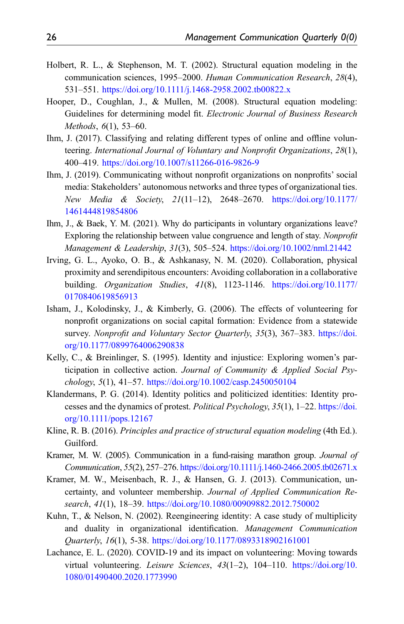- <span id="page-25-10"></span>Holbert, R. L., & Stephenson, M. T. (2002). Structural equation modeling in the communication sciences, 1995–2000. Human Communication Research, 28(4), 531–551. <https://doi.org/10.1111/j.1468-2958.2002.tb00822.x>
- <span id="page-25-12"></span>Hooper, D., Coughlan, J., & Mullen, M. (2008). Structural equation modeling: Guidelines for determining model fit. Electronic Journal of Business Research Methods, 6(1), 53–60.
- <span id="page-25-1"></span>Ihm, J. (2017). Classifying and relating different types of online and offline volunteering. International Journal of Voluntary and Nonprofit Organizations, 28(1), 400–419. <https://doi.org/10.1007/s11266-016-9826-9>
- <span id="page-25-13"></span>Ihm, J. (2019). Communicating without nonprofit organizations on nonprofits' social media: Stakeholders' autonomous networks and three types of organizational ties. New Media & Society, 21(11–12), 2648–2670. [https://doi.org/10.1177/](https://doi.org/10.1177/1461444819854806) [1461444819854806](https://doi.org/10.1177/1461444819854806)
- <span id="page-25-5"></span>Ihm, J., & Baek, Y. M. (2021). Why do participants in voluntary organizations leave? Exploring the relationship between value congruence and length of stay. Nonprofit Management & Leadership, 31(3), 505–524. <https://doi.org/10.1002/nml.21442>
- <span id="page-25-3"></span>Irving, G. L., Ayoko, O. B., & Ashkanasy, N. M. (2020). Collaboration, physical proximity and serendipitous encounters: Avoiding collaboration in a collaborative building. Organization Studies, 41(8), 1123-1146. [https://doi.org/10.1177/](https://doi.org/10.1177/0170840619856913) [0170840619856913](https://doi.org/10.1177/0170840619856913)
- <span id="page-25-9"></span>Isham, J., Kolodinsky, J., & Kimberly, G. (2006). The effects of volunteering for nonprofit organizations on social capital formation: Evidence from a statewide survey. Nonprofit and Voluntary Sector Quarterly, 35(3), 367-383. [https://doi.](https://doi.org/10.1177/0899764006290838) [org/10.1177/0899764006290838](https://doi.org/10.1177/0899764006290838)
- <span id="page-25-6"></span>Kelly, C., & Breinlinger, S. (1995). Identity and injustice: Exploring women's participation in collective action. Journal of Community & Applied Social Psychology, 5(1), 41–57. <https://doi.org/10.1002/casp.2450050104>
- <span id="page-25-7"></span>Klandermans, P. G. (2014). Identity politics and politicized identities: Identity processes and the dynamics of protest. Political Psychology, 35(1), 1–22. [https://doi.](https://doi.org/10.1111/pops.12167) [org/10.1111/pops.12167](https://doi.org/10.1111/pops.12167)
- <span id="page-25-11"></span>Kline, R. B. (2016). Principles and practice of structural equation modeling (4th Ed.). Guilford.
- <span id="page-25-8"></span>Kramer, M. W. (2005). Communication in a fund-raising marathon group. Journal of Communication, 55(2), 257–276. <https://doi.org/10.1111/j.1460-2466.2005.tb02671.x>
- <span id="page-25-4"></span>Kramer, M. W., Meisenbach, R. J., & Hansen, G. J. (2013). Communication, uncertainty, and volunteer membership. Journal of Applied Communication Research, 41(1), 18–39. <https://doi.org/10.1080/00909882.2012.750002>
- <span id="page-25-2"></span>Kuhn, T., & Nelson, N. (2002). Reengineering identity: A case study of multiplicity and duality in organizational identification. Management Communication Quarterly, 16(1), 5-38. <https://doi.org/10.1177/0893318902161001>
- <span id="page-25-0"></span>Lachance, E. L. (2020). COVID-19 and its impact on volunteering: Moving towards virtual volunteering. Leisure Sciences, 43(1-2), 104-110. [https://doi.org/10.](https://doi.org/10.1080/01490400.2020.1773990) [1080/01490400.2020.1773990](https://doi.org/10.1080/01490400.2020.1773990)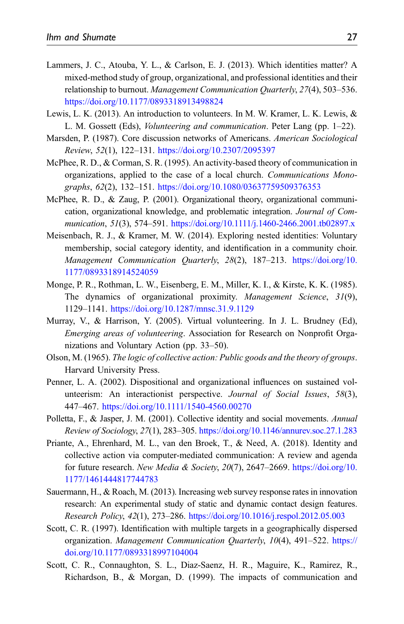- <span id="page-26-4"></span>Lammers, J. C., Atouba, Y. L., & Carlson, E. J. (2013). Which identities matter? A mixed-method study of group, organizational, and professional identities and their relationship to burnout. Management Communication Quarterly, 27(4), 503–536. <https://doi.org/10.1177/0893318913498824>
- <span id="page-26-12"></span>Lewis, L. K. (2013). An introduction to volunteers. In M. W. Kramer, L. K. Lewis, & L. M. Gossett (Eds), *Volunteering and communication*. Peter Lang (pp. 1–22).
- <span id="page-26-11"></span>Marsden, P. (1987). Core discussion networks of Americans. American Sociological Review, 52(1), 122–131. <https://doi.org/10.2307/2095397>
- <span id="page-26-14"></span>McPhee, R. D., & Corman, S. R. (1995). An activity-based theory of communication in organizations, applied to the case of a local church. Communications Monographs, 62(2), 132–151. <https://doi.org/10.1080/03637759509376353>
- <span id="page-26-9"></span>McPhee, R. D., & Zaug, P. (2001). Organizational theory, organizational communication, organizational knowledge, and problematic integration. Journal of Communication, 51(3), 574–591. <https://doi.org/10.1111/j.1460-2466.2001.tb02897.x>
- <span id="page-26-5"></span>Meisenbach, R. J., & Kramer, M. W. (2014). Exploring nested identities: Voluntary membership, social category identity, and identification in a community choir. Management Communication Quarterly, 28(2), 187-213. [https://doi.org/10.](https://doi.org/10.1177/0893318914524059) [1177/0893318914524059](https://doi.org/10.1177/0893318914524059)
- <span id="page-26-3"></span>Monge, P. R., Rothman, L. W., Eisenberg, E. M., Miller, K. I., & Kirste, K. K. (1985). The dynamics of organizational proximity. Management Science, 31(9), 1129–1141. <https://doi.org/10.1287/mnsc.31.9.1129>
- <span id="page-26-2"></span>Murray, V., & Harrison, Y. (2005). Virtual volunteering. In J. L. Brudney (Ed), Emerging areas of volunteering. Association for Research on Nonprofit Organizations and Voluntary Action (pp. 33–50).
- <span id="page-26-13"></span>Olson, M. (1965). The logic of collective action: Public goods and the theory of groups. Harvard University Press.
- <span id="page-26-6"></span>Penner, L. A. (2002). Dispositional and organizational influences on sustained volunteerism: An interactionist perspective. Journal of Social Issues, 58(3), 447–467. <https://doi.org/10.1111/1540-4560.00270>
- <span id="page-26-7"></span>Polletta, F., & Jasper, J. M. (2001). Collective identity and social movements. Annual Review of Sociology, 27(1), 283–305. <https://doi.org/10.1146/annurev.soc.27.1.283>
- <span id="page-26-8"></span>Priante, A., Ehrenhard, M. L., van den Broek, T., & Need, A. (2018). Identity and collective action via computer-mediated communication: A review and agenda for future research. New Media & Society, 20(7), 2647-2669. [https://doi.org/10.](https://doi.org/10.1177/1461444817744783) [1177/1461444817744783](https://doi.org/10.1177/1461444817744783)
- <span id="page-26-10"></span>Sauermann, H., & Roach, M. (2013). Increasing web survey response rates in innovation research: An experimental study of static and dynamic contact design features. Research Policy, 42(1), 273–286. <https://doi.org/10.1016/j.respol.2012.05.003>
- <span id="page-26-1"></span>Scott, C. R. (1997). Identification with multiple targets in a geographically dispersed organization. Management Communication Quarterly, 10(4), 491–522. [https://](https://doi.org/10.1177/0893318997104004) [doi.org/10.1177/0893318997104004](https://doi.org/10.1177/0893318997104004)
- <span id="page-26-0"></span>Scott, C. R., Connaughton, S. L., Diaz-Saenz, H. R., Maguire, K., Ramirez, R., Richardson, B., & Morgan, D. (1999). The impacts of communication and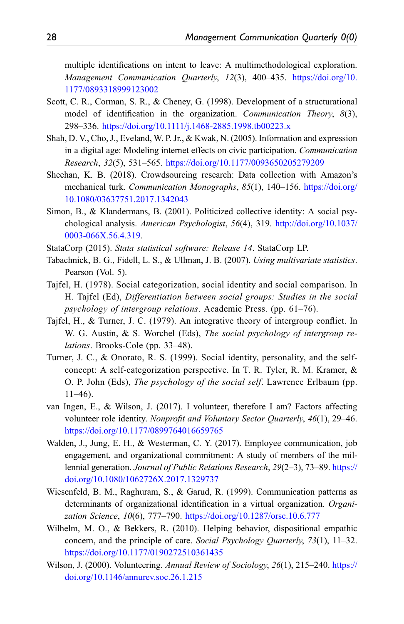multiple identifications on intent to leave: A multimethodological exploration. Management Communication Quarterly, 12(3), 400–435. [https://doi.org/10.](https://doi.org/10.1177/0893318999123002) [1177/0893318999123002](https://doi.org/10.1177/0893318999123002)

- <span id="page-27-3"></span>Scott, C. R., Corman, S. R., & Cheney, G. (1998). Development of a structurational model of identification in the organization. Communication Theory, 8(3), 298–336. <https://doi.org/10.1111/j.1468-2885.1998.tb00223.x>
- <span id="page-27-9"></span>Shah, D. V., Cho, J., Eveland, W. P. Jr., & Kwak, N. (2005). Information and expression in a digital age: Modeling internet effects on civic participation. Communication Research, 32(5), 531–565. <https://doi.org/10.1177/0093650205279209>
- <span id="page-27-10"></span>Sheehan, K. B. (2018). Crowdsourcing research: Data collection with Amazon's mechanical turk. Communication Monographs, 85(1), 140–156. [https://doi.org/](https://doi.org/10.1080/03637751.2017.1342043) [10.1080/03637751.2017.1342043](https://doi.org/10.1080/03637751.2017.1342043)
- <span id="page-27-6"></span>Simon, B., & Klandermans, B. (2001). Politicized collective identity: A social psychological analysis. American Psychologist, 56(4), 319. [http://doi.org/10.1037/](http://doi.org/10.1037/0003-066X.56.4.319) [0003-066X.56.4.319.](http://doi.org/10.1037/0003-066X.56.4.319)
- <span id="page-27-11"></span>StataCorp (2015). Stata statistical software: Release 14. StataCorp LP.
- <span id="page-27-12"></span>Tabachnick, B. G., Fidell, L. S., & Ullman, J. B. (2007). Using multivariate statistics. Pearson (Vol. 5).
- <span id="page-27-1"></span>Tajfel, H. (1978). Social categorization, social identity and social comparison. In H. Tajfel (Ed), Differentiation between social groups: Studies in the social psychology of intergroup relations. Academic Press. (pp. 61–76).
- <span id="page-27-13"></span>Tajfel, H., & Turner, J. C. (1979). An integrative theory of intergroup conflict. In W. G. Austin, & S. Worchel (Eds), The social psychology of intergroup relations. Brooks-Cole (pp. 33–48).
- <span id="page-27-2"></span>Turner, J. C., & Onorato, R. S. (1999). Social identity, personality, and the selfconcept: A self-categorization perspective. In T. R. Tyler, R. M. Kramer, & O. P. John (Eds), The psychology of the social self. Lawrence Erlbaum (pp. 11–46).
- <span id="page-27-5"></span>van Ingen, E., & Wilson, J. (2017). I volunteer, therefore I am? Factors affecting volunteer role identity. Nonprofit and Voluntary Sector Ouarterly, 46(1), 29–46. <https://doi.org/10.1177/0899764016659765>
- <span id="page-27-7"></span>Walden, J., Jung, E. H., & Westerman, C. Y. (2017). Employee communication, job engagement, and organizational commitment: A study of members of the millennial generation. Journal of Public Relations Research, 29(2–3), 73–89. [https://](https://doi.org/10.1080/1062726X.2017.1329737) [doi.org/10.1080/1062726X.2017.1329737](https://doi.org/10.1080/1062726X.2017.1329737)
- <span id="page-27-0"></span>Wiesenfeld, B. M., Raghuram, S., & Garud, R. (1999). Communication patterns as determinants of organizational identification in a virtual organization. Organization Science, 10(6), 777–790. <https://doi.org/10.1287/orsc.10.6.777>
- <span id="page-27-4"></span>Wilhelm, M. O., & Bekkers, R. (2010). Helping behavior, dispositional empathic concern, and the principle of care. Social Psychology Quarterly, 73(1), 11–32. <https://doi.org/10.1177/0190272510361435>
- <span id="page-27-8"></span>Wilson, J. (2000). Volunteering. Annual Review of Sociology, 26(1), 215–240. [https://](https://doi.org/10.1146/annurev.soc.26.1.215) [doi.org/10.1146/annurev.soc.26.1.215](https://doi.org/10.1146/annurev.soc.26.1.215)